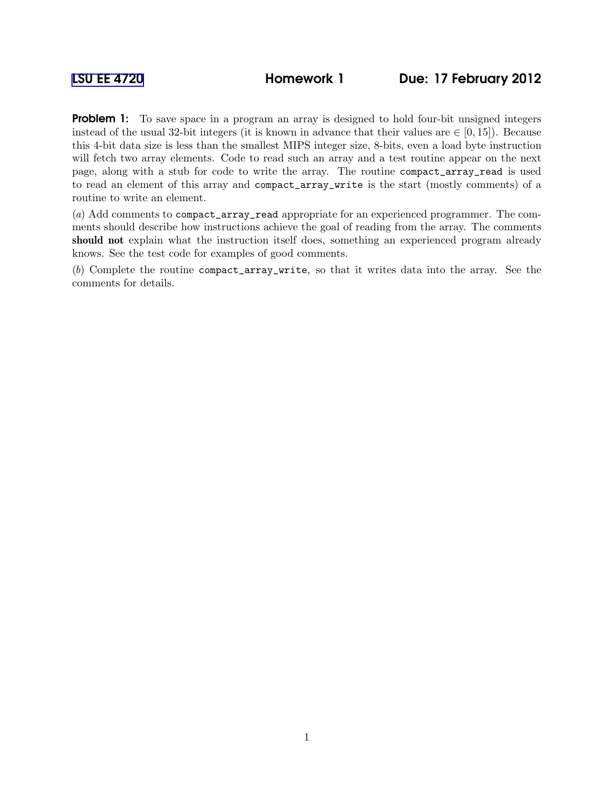Problem 1: To save space in a program an array is designed to hold four-bit unsigned integers instead of the usual 32-bit integers (it is known in advance that their values are  $\in [0, 15]$ ). Because this 4-bit data size is less than the smallest MIPS integer size, 8-bits, even a load byte instruction will fetch two array elements. Code to read such an array and a test routine appear on the next page, along with a stub for code to write the array. The routine compact\_array\_read is used to read an element of this array and compact\_array\_write is the start (mostly comments) of a routine to write an element.

(a) Add comments to compact\_array\_read appropriate for an experienced programmer. The comments should describe how instructions achieve the goal of reading from the array. The comments should not explain what the instruction itself does, something an experienced program already knows. See the test code for examples of good comments.

(b) Complete the routine compact\_array\_write, so that it writes data into the array. See the comments for details.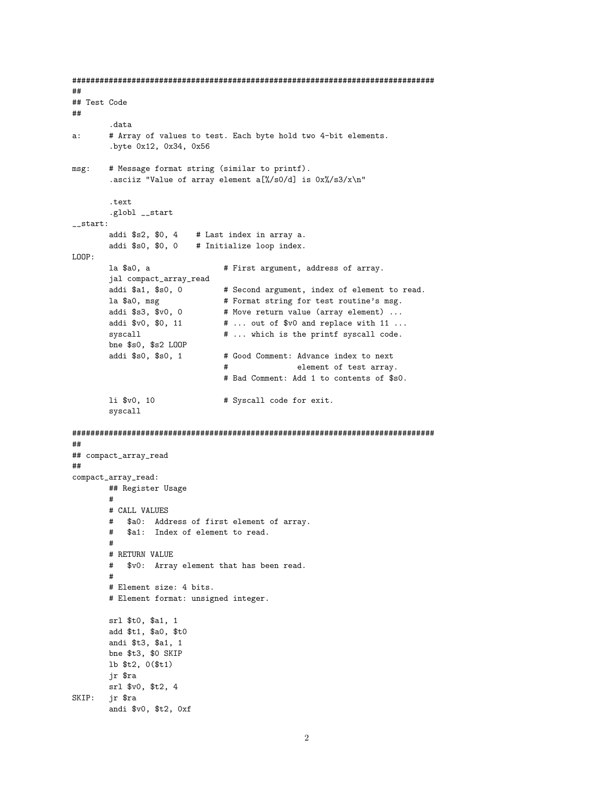```
#### Test Code
\# \#data.
       # Array of values to test. Each byte hold two 4-bit elements.
a:.byte 0x12, 0x34, 0x56
       # Message format string (similar to printf).
msg:.asciiz "Value of array element a[%/s0/d] is 0x\sqrt{s}3/x\sqrt{n}"
       .text
       .globl __start
{\tt _-start:}addi $s2, $0, 4
                      # Last index in array a.
      addi $s0, $0, 0 # Initialize loop index.
LOOP:la $a0. a
                             # First argument, address of array.
       jal compact_array_read
       addi $a1, $s0, 0
                             # Second argument, index of element to read.
       la $a0, msg
                            # Format string for test routine's msg.
       addi $s3, $v0, 0
                            # Move return value (array element) ...
       addi $v0, $0, 11
                            # ... out of $v0 and replace with 11 ...
       syscall
                             # ... which is the printf syscall code.
       bne $s0, $s2 LOOP
       addi $s0, $s0, 1
                             # Good Comment: Advance index to next
                                  element of test array.
                             ## Bad Comment: Add 1 to contents of $s0.
       li $v0, 10
                             # Syscall code for exit.
       syscall
##
## compact_array_read
\# \#compact_array_read:
       ## Register Usage
       ## CALL VALUES
       # $a0: Address of first element of array.
       # $a1: Index of element to read.
       # RETURN VALUE
       # $v0: Array element that has been read.
       ## Element size: 4 bits.
       # Element format: unsigned integer.
       srl $t0, $a1, 1
       add $t1, $a0, $t0
       andi $t3, $a1, 1
      bne $t3, $0 SKIP
      lb $t2, 0($t1)
      jr $ra
      srl $v0, $t2, 4
SKIP: jr $ra
       andi $v0, $t2, Oxf
```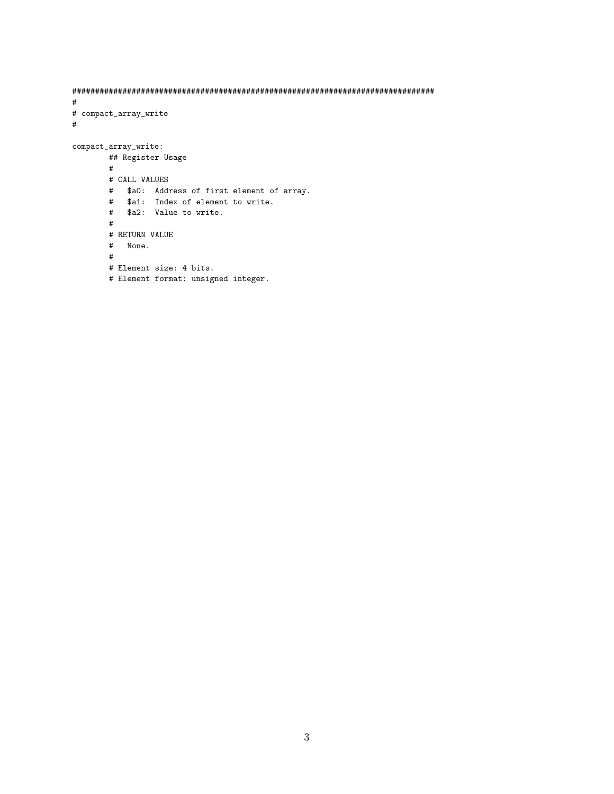```
###############################################################################
#
# compact_array_write
#
compact_array_write:
       ## Register Usage
       #
       # CALL VALUES
       # $a0: Address of first element of array.
        # $a1: Index of element to write.
        # $a2: Value to write.
       #
       # RETURN VALUE
       # None.
       #
       # Element size: 4 bits.
       # Element format: unsigned integer.
```